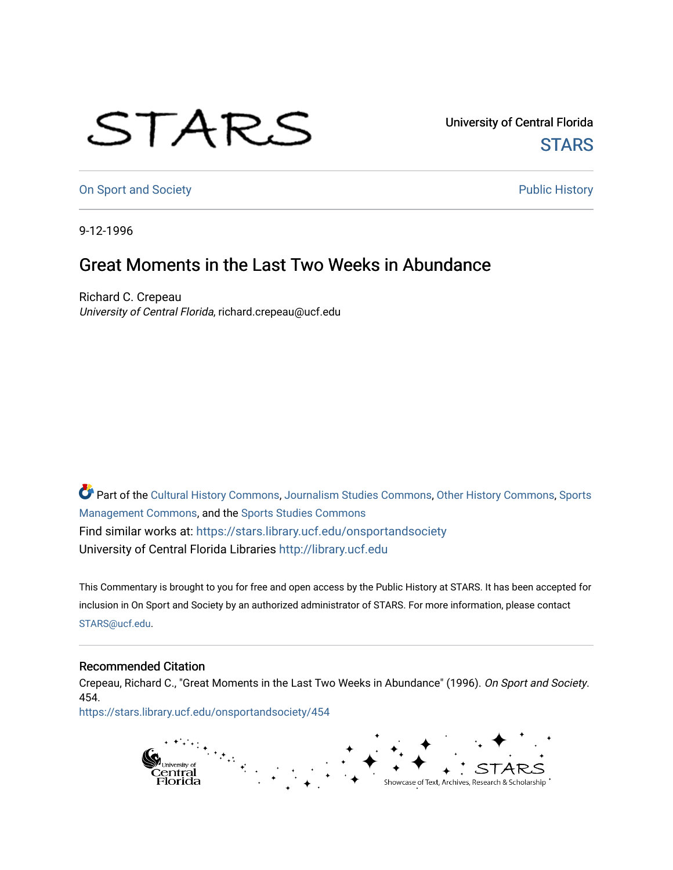## STARS

University of Central Florida **STARS** 

[On Sport and Society](https://stars.library.ucf.edu/onsportandsociety) **Public History** Public History

9-12-1996

## Great Moments in the Last Two Weeks in Abundance

Richard C. Crepeau University of Central Florida, richard.crepeau@ucf.edu

Part of the [Cultural History Commons](http://network.bepress.com/hgg/discipline/496?utm_source=stars.library.ucf.edu%2Fonsportandsociety%2F454&utm_medium=PDF&utm_campaign=PDFCoverPages), [Journalism Studies Commons,](http://network.bepress.com/hgg/discipline/333?utm_source=stars.library.ucf.edu%2Fonsportandsociety%2F454&utm_medium=PDF&utm_campaign=PDFCoverPages) [Other History Commons,](http://network.bepress.com/hgg/discipline/508?utm_source=stars.library.ucf.edu%2Fonsportandsociety%2F454&utm_medium=PDF&utm_campaign=PDFCoverPages) [Sports](http://network.bepress.com/hgg/discipline/1193?utm_source=stars.library.ucf.edu%2Fonsportandsociety%2F454&utm_medium=PDF&utm_campaign=PDFCoverPages) [Management Commons](http://network.bepress.com/hgg/discipline/1193?utm_source=stars.library.ucf.edu%2Fonsportandsociety%2F454&utm_medium=PDF&utm_campaign=PDFCoverPages), and the [Sports Studies Commons](http://network.bepress.com/hgg/discipline/1198?utm_source=stars.library.ucf.edu%2Fonsportandsociety%2F454&utm_medium=PDF&utm_campaign=PDFCoverPages) Find similar works at: <https://stars.library.ucf.edu/onsportandsociety> University of Central Florida Libraries [http://library.ucf.edu](http://library.ucf.edu/) 

This Commentary is brought to you for free and open access by the Public History at STARS. It has been accepted for inclusion in On Sport and Society by an authorized administrator of STARS. For more information, please contact [STARS@ucf.edu](mailto:STARS@ucf.edu).

## Recommended Citation

Crepeau, Richard C., "Great Moments in the Last Two Weeks in Abundance" (1996). On Sport and Society. 454.

[https://stars.library.ucf.edu/onsportandsociety/454](https://stars.library.ucf.edu/onsportandsociety/454?utm_source=stars.library.ucf.edu%2Fonsportandsociety%2F454&utm_medium=PDF&utm_campaign=PDFCoverPages)

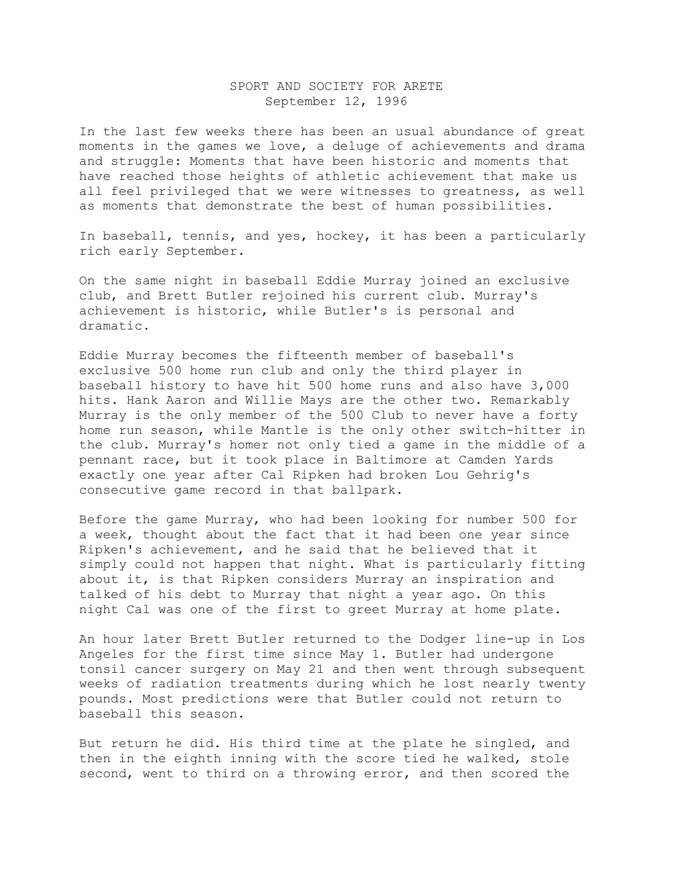## SPORT AND SOCIETY FOR ARETE September 12, 1996

In the last few weeks there has been an usual abundance of great moments in the games we love, a deluge of achievements and drama and struggle: Moments that have been historic and moments that have reached those heights of athletic achievement that make us all feel privileged that we were witnesses to greatness, as well as moments that demonstrate the best of human possibilities.

In baseball, tennis, and yes, hockey, it has been a particularly rich early September.

On the same night in baseball Eddie Murray joined an exclusive club, and Brett Butler rejoined his current club. Murray's achievement is historic, while Butler's is personal and dramatic.

Eddie Murray becomes the fifteenth member of baseball's exclusive 500 home run club and only the third player in baseball history to have hit 500 home runs and also have 3,000 hits. Hank Aaron and Willie Mays are the other two. Remarkably Murray is the only member of the 500 Club to never have a forty home run season, while Mantle is the only other switch-hitter in the club. Murray's homer not only tied a game in the middle of a pennant race, but it took place in Baltimore at Camden Yards exactly one year after Cal Ripken had broken Lou Gehrig's consecutive game record in that ballpark.

Before the game Murray, who had been looking for number 500 for a week, thought about the fact that it had been one year since Ripken's achievement, and he said that he believed that it simply could not happen that night. What is particularly fitting about it, is that Ripken considers Murray an inspiration and talked of his debt to Murray that night a year ago. On this night Cal was one of the first to greet Murray at home plate.

An hour later Brett Butler returned to the Dodger line-up in Los Angeles for the first time since May 1. Butler had undergone tonsil cancer surgery on May 21 and then went through subsequent weeks of radiation treatments during which he lost nearly twenty pounds. Most predictions were that Butler could not return to baseball this season.

But return he did. His third time at the plate he singled, and then in the eighth inning with the score tied he walked, stole second, went to third on a throwing error, and then scored the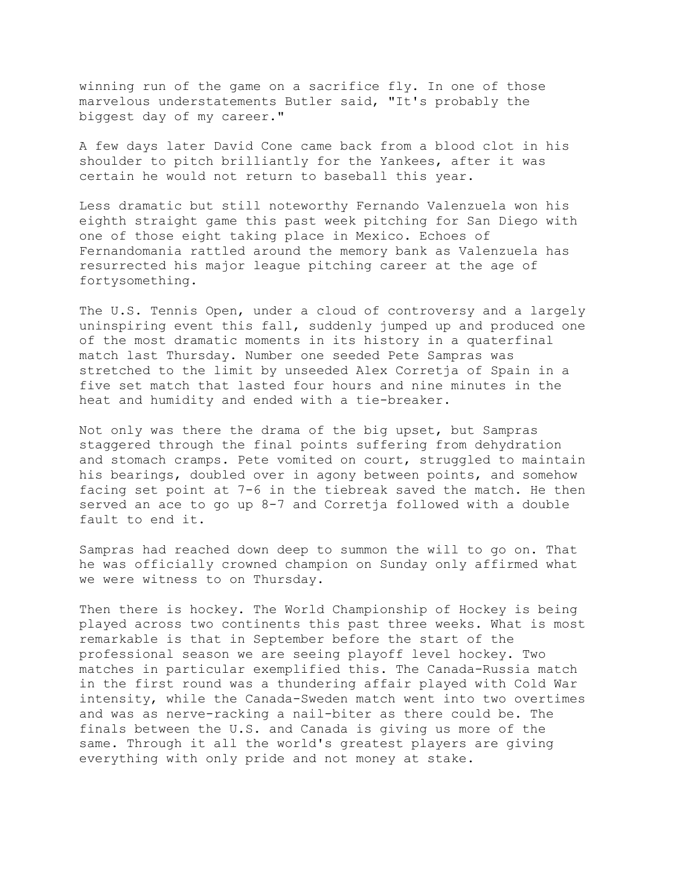winning run of the game on a sacrifice fly. In one of those marvelous understatements Butler said, "It's probably the biggest day of my career."

A few days later David Cone came back from a blood clot in his shoulder to pitch brilliantly for the Yankees, after it was certain he would not return to baseball this year.

Less dramatic but still noteworthy Fernando Valenzuela won his eighth straight game this past week pitching for San Diego with one of those eight taking place in Mexico. Echoes of Fernandomania rattled around the memory bank as Valenzuela has resurrected his major league pitching career at the age of fortysomething.

The U.S. Tennis Open, under a cloud of controversy and a largely uninspiring event this fall, suddenly jumped up and produced one of the most dramatic moments in its history in a quaterfinal match last Thursday. Number one seeded Pete Sampras was stretched to the limit by unseeded Alex Corretja of Spain in a five set match that lasted four hours and nine minutes in the heat and humidity and ended with a tie-breaker.

Not only was there the drama of the big upset, but Sampras staggered through the final points suffering from dehydration and stomach cramps. Pete vomited on court, struggled to maintain his bearings, doubled over in agony between points, and somehow facing set point at 7-6 in the tiebreak saved the match. He then served an ace to go up 8-7 and Corretja followed with a double fault to end it.

Sampras had reached down deep to summon the will to go on. That he was officially crowned champion on Sunday only affirmed what we were witness to on Thursday.

Then there is hockey. The World Championship of Hockey is being played across two continents this past three weeks. What is most remarkable is that in September before the start of the professional season we are seeing playoff level hockey. Two matches in particular exemplified this. The Canada-Russia match in the first round was a thundering affair played with Cold War intensity, while the Canada-Sweden match went into two overtimes and was as nerve-racking a nail-biter as there could be. The finals between the U.S. and Canada is giving us more of the same. Through it all the world's greatest players are giving everything with only pride and not money at stake.